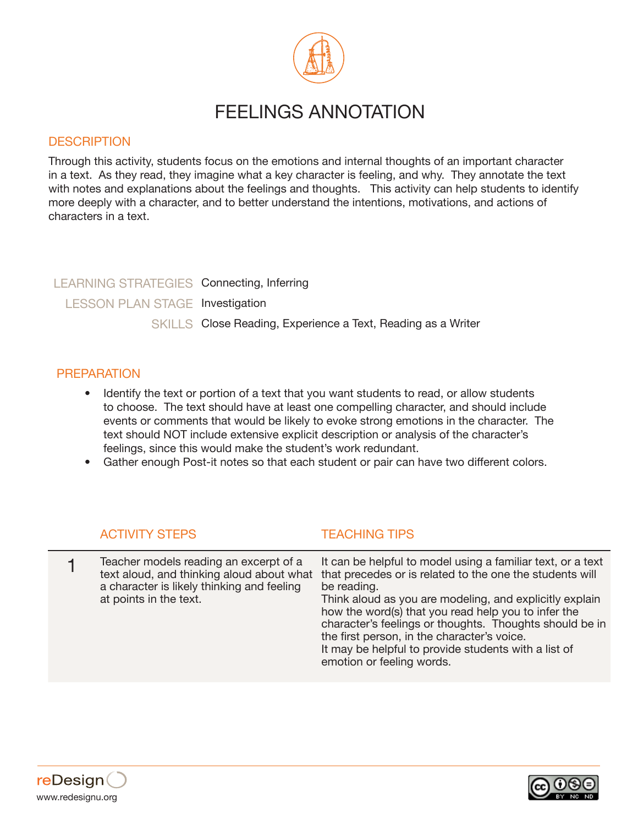

# FEELINGS ANNOTATION

#### **DESCRIPTION**

Through this activity, students focus on the emotions and internal thoughts of an important character in a text. As they read, they imagine what a key character is feeling, and why. They annotate the text with notes and explanations about the feelings and thoughts. This activity can help students to identify more deeply with a character, and to better understand the intentions, motivations, and actions of characters in a text.

## LEARNING STRATEGIES Connecting, Inferring LESSON PLAN STAGE Investigation SKILLS Close Reading, Experience a Text, Reading as a Writer

#### **PREPARATION**

- Identify the text or portion of a text that you want students to read, or allow students to choose. The text should have at least one compelling character, and should include events or comments that would be likely to evoke strong emotions in the character. The text should NOT include extensive explicit description or analysis of the character's feelings, since this would make the student's work redundant.
- Gather enough Post-it notes so that each student or pair can have two different colors.

|  | <b>ACTIVITY STEPS</b> |
|--|-----------------------|
|  |                       |

#### **TFACHING TIPS**

|  | Teacher models reading an excerpt of a<br>a character is likely thinking and feeling<br>at points in the text. | It can be helpful to model using a familiar text, or a text<br>text aloud, and thinking aloud about what that precedes or is related to the one the students will<br>be reading.<br>Think aloud as you are modeling, and explicitly explain<br>how the word(s) that you read help you to infer the<br>character's feelings or thoughts. Thoughts should be in<br>the first person, in the character's voice.<br>It may be helpful to provide students with a list of<br>emotion or feeling words. |
|--|----------------------------------------------------------------------------------------------------------------|---------------------------------------------------------------------------------------------------------------------------------------------------------------------------------------------------------------------------------------------------------------------------------------------------------------------------------------------------------------------------------------------------------------------------------------------------------------------------------------------------|
|--|----------------------------------------------------------------------------------------------------------------|---------------------------------------------------------------------------------------------------------------------------------------------------------------------------------------------------------------------------------------------------------------------------------------------------------------------------------------------------------------------------------------------------------------------------------------------------------------------------------------------------|